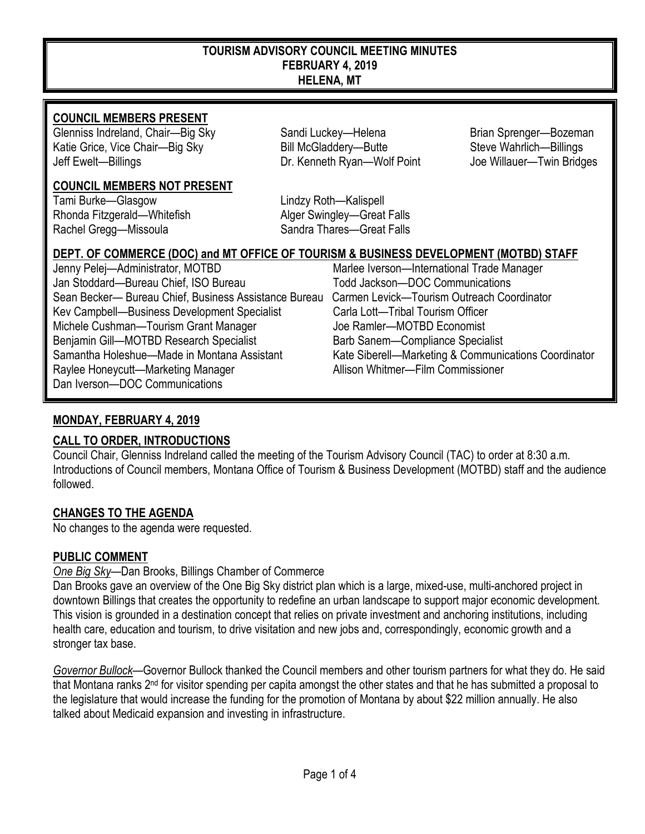#### **TOURISM ADVISORY COUNCIL MEETING MINUTES FEBRUARY 4, 2019 HELENA, MT**

#### **COUNCIL MEMBERS PRESENT**

Glenniss Indreland, Chair—Big Sky Sandi Luckey—Helena Brian Sprenger—Bozeman<br>Sandi Luckey—Helena Brian Steve Wahrlich—Billings (Katie Grice, Vice Chair—Billings Katie Grice, Vice Chair—Big Sky Bill McGladdery—Butte Jeff Ewelt—Billings Dr. Kenneth Ryan—Wolf Point Joe Willauer—Twin Bridges

#### **COUNCIL MEMBERS NOT PRESENT**

Tami Burke—Glasgow Lindzy Roth—Kalispell Rhonda Fitzgerald—Whitefish Alger Swingley—Great Falls Rachel Gregg—Missoula Sandra Thares—Great Falls

# **DEPT. OF COMMERCE (DOC) and MT OFFICE OF TOURISM & BUSINESS DEVELOPMENT (MOTBD) STAFF**

Jenny Pelej—Administrator, MOTBD Marlee Iverson—International Trade Manager Jan Stoddard—Bureau Chief, ISO Bureau Todd Jackson—DOC Communications Sean Becker— Bureau Chief, Business Assistance Bureau Carmen Levick—Tourism Outreach Coordinator Kev Campbell—Business Development Specialist Carla Lott—Tribal Tourism Officer Michele Cushman—Tourism Grant Manager Joe Ramler—MOTBD Economist Benjamin Gill—MOTBD Research Specialist Barb Sanem—Compliance Specialist Samantha Holeshue—Made in Montana Assistant Kate Siberell—Marketing & Communications Coordinator Raylee Honeycutt—Marketing Manager **Allison Whitmer—Film Commissioner** Allison Whitmer Dan Iverson—DOC Communications

## **MONDAY, FEBRUARY 4, 2019**

## **CALL TO ORDER, INTRODUCTIONS**

Council Chair, Glenniss Indreland called the meeting of the Tourism Advisory Council (TAC) to order at 8:30 a.m. Introductions of Council members, Montana Office of Tourism & Business Development (MOTBD) staff and the audience followed.

#### **CHANGES TO THE AGENDA**

No changes to the agenda were requested.

#### **PUBLIC COMMENT**

#### *One Big Sky*—Dan Brooks, Billings Chamber of Commerce

Dan Brooks gave an overview of the One Big Sky district plan which is a large, mixed-use, multi-anchored project in downtown Billings that creates the opportunity to redefine an urban landscape to support major economic development. This vision is grounded in a destination concept that relies on private investment and anchoring institutions, including health care, education and tourism, to drive visitation and new jobs and, correspondingly, economic growth and a stronger tax base.

*Governor Bullock*—Governor Bullock thanked the Council members and other tourism partners for what they do. He said that Montana ranks 2nd for visitor spending per capita amongst the other states and that he has submitted a proposal to the legislature that would increase the funding for the promotion of Montana by about \$22 million annually. He also talked about Medicaid expansion and investing in infrastructure.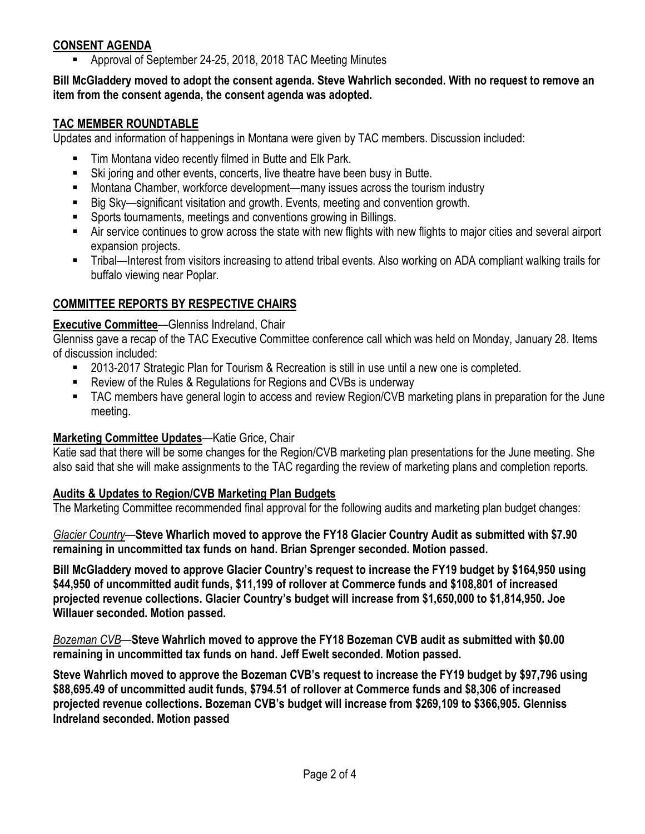## **CONSENT AGENDA**

Approval of September 24-25, 2018, 2018 TAC Meeting Minutes

#### **Bill McGladdery moved to adopt the consent agenda. Steve Wahrlich seconded. With no request to remove an item from the consent agenda, the consent agenda was adopted.**

#### **TAC MEMBER ROUNDTABLE**

Updates and information of happenings in Montana were given by TAC members. Discussion included:

- Tim Montana video recently filmed in Butte and Elk Park.
- Ski joring and other events, concerts, live theatre have been busy in Butte.
- Montana Chamber, workforce development—many issues across the tourism industry
- Big Sky—significant visitation and growth. Events, meeting and convention growth.
- Sports tournaments, meetings and conventions growing in Billings.
- Air service continues to grow across the state with new flights with new flights to major cities and several airport expansion projects.
- Tribal—Interest from visitors increasing to attend tribal events. Also working on ADA compliant walking trails for buffalo viewing near Poplar.

# **COMMITTEE REPORTS BY RESPECTIVE CHAIRS**

## **Executive Committee**—Glenniss Indreland, Chair

Glenniss gave a recap of the TAC Executive Committee conference call which was held on Monday, January 28. Items of discussion included:

- 2013-2017 Strategic Plan for Tourism & Recreation is still in use until a new one is completed.
- Review of the Rules & Regulations for Regions and CVBs is underway
- TAC members have general login to access and review Region/CVB marketing plans in preparation for the June meeting.

## **Marketing Committee Updates**—Katie Grice, Chair

Katie sad that there will be some changes for the Region/CVB marketing plan presentations for the June meeting. She also said that she will make assignments to the TAC regarding the review of marketing plans and completion reports.

## **Audits & Updates to Region/CVB Marketing Plan Budgets**

The Marketing Committee recommended final approval for the following audits and marketing plan budget changes:

*Glacier Country*—**Steve Wharlich moved to approve the FY18 Glacier Country Audit as submitted with \$7.90 remaining in uncommitted tax funds on hand. Brian Sprenger seconded. Motion passed.**

**Bill McGladdery moved to approve Glacier Country's request to increase the FY19 budget by \$164,950 using \$44,950 of uncommitted audit funds, \$11,199 of rollover at Commerce funds and \$108,801 of increased projected revenue collections. Glacier Country's budget will increase from \$1,650,000 to \$1,814,950. Joe Willauer seconded. Motion passed.** 

*Bozeman CVB*—**Steve Wahrlich moved to approve the FY18 Bozeman CVB audit as submitted with \$0.00 remaining in uncommitted tax funds on hand. Jeff Ewelt seconded. Motion passed.**

**Steve Wahrlich moved to approve the Bozeman CVB's request to increase the FY19 budget by \$97,796 using \$88,695.49 of uncommitted audit funds, \$794.51 of rollover at Commerce funds and \$8,306 of increased projected revenue collections. Bozeman CVB's budget will increase from \$269,109 to \$366,905. Glenniss Indreland seconded. Motion passed**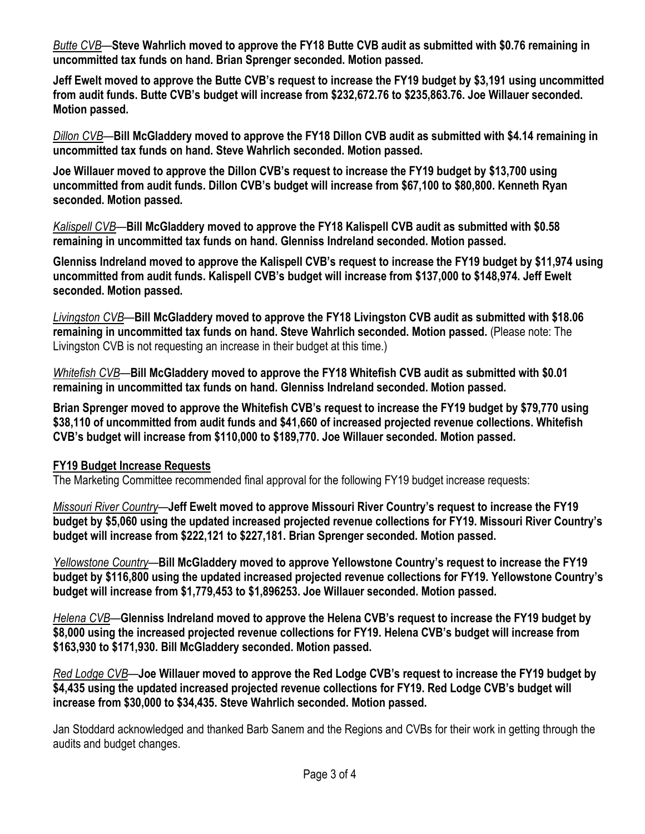*Butte CVB*—**Steve Wahrlich moved to approve the FY18 Butte CVB audit as submitted with \$0.76 remaining in uncommitted tax funds on hand. Brian Sprenger seconded. Motion passed.** 

**Jeff Ewelt moved to approve the Butte CVB's request to increase the FY19 budget by \$3,191 using uncommitted from audit funds. Butte CVB's budget will increase from \$232,672.76 to \$235,863.76. Joe Willauer seconded. Motion passed.** 

*Dillon CVB*—**Bill McGladdery moved to approve the FY18 Dillon CVB audit as submitted with \$4.14 remaining in uncommitted tax funds on hand. Steve Wahrlich seconded. Motion passed.** 

**Joe Willauer moved to approve the Dillon CVB's request to increase the FY19 budget by \$13,700 using uncommitted from audit funds. Dillon CVB's budget will increase from \$67,100 to \$80,800. Kenneth Ryan seconded. Motion passed.** 

*Kalispell CVB*—**Bill McGladdery moved to approve the FY18 Kalispell CVB audit as submitted with \$0.58 remaining in uncommitted tax funds on hand. Glenniss Indreland seconded. Motion passed.** 

**Glenniss Indreland moved to approve the Kalispell CVB's request to increase the FY19 budget by \$11,974 using uncommitted from audit funds. Kalispell CVB's budget will increase from \$137,000 to \$148,974. Jeff Ewelt seconded. Motion passed.** 

*Livingston CVB*—**Bill McGladdery moved to approve the FY18 Livingston CVB audit as submitted with \$18.06 remaining in uncommitted tax funds on hand. Steve Wahrlich seconded. Motion passed.** (Please note: The Livingston CVB is not requesting an increase in their budget at this time.)

*Whitefish CVB*—**Bill McGladdery moved to approve the FY18 Whitefish CVB audit as submitted with \$0.01 remaining in uncommitted tax funds on hand. Glenniss Indreland seconded. Motion passed.** 

**Brian Sprenger moved to approve the Whitefish CVB's request to increase the FY19 budget by \$79,770 using \$38,110 of uncommitted from audit funds and \$41,660 of increased projected revenue collections. Whitefish CVB's budget will increase from \$110,000 to \$189,770. Joe Willauer seconded. Motion passed.** 

#### **FY19 Budget Increase Requests**

The Marketing Committee recommended final approval for the following FY19 budget increase requests:

*Missouri River Country—***Jeff Ewelt moved to approve Missouri River Country's request to increase the FY19 budget by \$5,060 using the updated increased projected revenue collections for FY19. Missouri River Country's budget will increase from \$222,121 to \$227,181. Brian Sprenger seconded. Motion passed.** 

*Yellowstone Country—***Bill McGladdery moved to approve Yellowstone Country's request to increase the FY19 budget by \$116,800 using the updated increased projected revenue collections for FY19. Yellowstone Country's budget will increase from \$1,779,453 to \$1,896253. Joe Willauer seconded. Motion passed.** 

*Helena CVB—***Glenniss Indreland moved to approve the Helena CVB's request to increase the FY19 budget by \$8,000 using the increased projected revenue collections for FY19. Helena CVB's budget will increase from \$163,930 to \$171,930. Bill McGladdery seconded. Motion passed.** 

*Red Lodge CVB—***Joe Willauer moved to approve the Red Lodge CVB's request to increase the FY19 budget by \$4,435 using the updated increased projected revenue collections for FY19. Red Lodge CVB's budget will increase from \$30,000 to \$34,435. Steve Wahrlich seconded. Motion passed.** 

Jan Stoddard acknowledged and thanked Barb Sanem and the Regions and CVBs for their work in getting through the audits and budget changes.